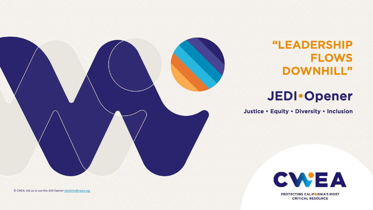

"LEADERSHIP FLOWS DOWNHILL"

# JEDI•Opener

Justice • Equity • Diversity • Inclusion



PROTECTING CALIFORNIA'S MOST **CRITICAL RESOURCE** 

© CWEA. Ask us to use this JEDI Opener [ebulletin@cwea.org](mailto:ebulletin@cwea.org)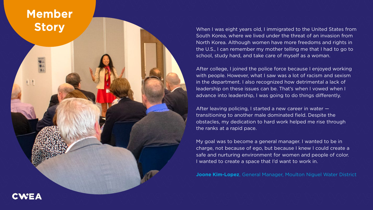### Member **Story**

**CWEA** 

When I was eight years old, I immigrated to the United States from South Korea, where we lived under the threat of an invasion from North Korea. Although women have more freedoms and rights in the U.S., I can remember my mother telling me that I had to go to school, study hard, and take care of myself as a woman.

After college, I joined the police force because I enjoyed working with people. However, what I saw was a lot of racism and sexism in the department. I also recognized how detrimental a lack of leadership on these issues can be. That's when I vowed when I advance into leadership, I was going to do things differently.

After leaving policing, I started a new career in water transitioning to another male dominated field. Despite the obstacles, my dedication to hard work helped me rise through the ranks at a rapid pace.

My goal was to become a general manager. I wanted to be in charge, not because of ego, but because I knew I could create a safe and nurturing environment for women and people of color. I wanted to create a space that I'd want to work in.

**Joone Kim-Lopez**, General Manager, Moulton Niguel Water District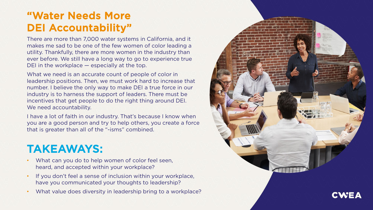#### "Water Needs More DEI Accountability"

There are more than 7,000 water systems in California, and it makes me sad to be one of the few women of color leading a utility. Thankfully, there are more women in the industry than ever before. We still have a long way to go to experience true DEI in the workplace – especially at the top.

What we need is an accurate count of people of color in leadership positions. Then, we must work hard to increase that number. I believe the only way to make DEI a true force in our industry is to harness the support of leaders. There must be incentives that get people to do the right thing around DEI. We need accountability.

I have a lot of faith in our industry. That's because I know when you are a good person and try to help others, you create a force that is greater than all of the "-isms" combined.

# TAKEAWAYS:

- What can you do to help women of color feel seen, heard, and accepted within your workplace?
- If you don't feel a sense of inclusion within your workplace, have you communicated your thoughts to leadership?
- What value does diversity in leadership bring to a workplace?